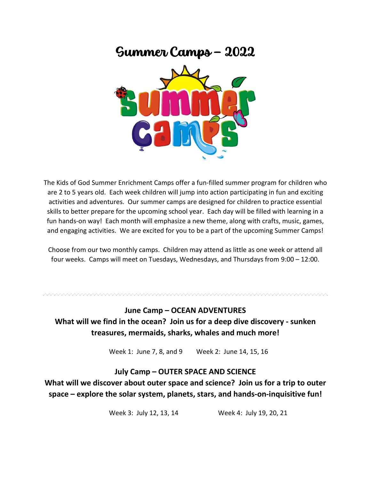# Summer Camps – 2022



The Kids of God Summer Enrichment Camps offer a fun-filled summer program for children who are 2 to 5 years old. Each week children will jump into action participating in fun and exciting activities and adventures. Our summer camps are designed for children to practice essential skills to better prepare for the upcoming school year. Each day will be filled with learning in a fun hands-on way! Each month will emphasize a new theme, along with crafts, music, games, and engaging activities. We are excited for you to be a part of the upcoming Summer Camps!

Choose from our two monthly camps. Children may attend as little as one week or attend all four weeks. Camps will meet on Tuesdays, Wednesdays, and Thursdays from 9:00 – 12:00.

### **June Camp – OCEAN ADVENTURES What will we find in the ocean? Join us for a deep dive discovery - sunken treasures, mermaids, sharks, whales and much more!**

Week 1: June 7, 8, and 9 Week 2: June 14, 15, 16

### **July Camp – OUTER SPACE AND SCIENCE**

**What will we discover about outer space and science? Join us for a trip to outer space – explore the solar system, planets, stars, and hands-on-inquisitive fun!**

Week 3: July 12, 13, 14 Week 4: July 19, 20, 21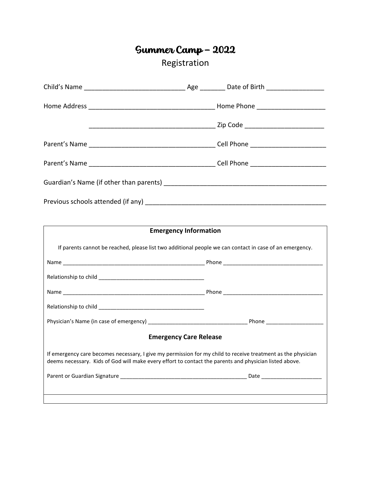# Summer Camp – 2022

Registration

| <b>Emergency Information</b>                                                                                                                                                                                           |  |  |  |  |
|------------------------------------------------------------------------------------------------------------------------------------------------------------------------------------------------------------------------|--|--|--|--|
| If parents cannot be reached, please list two additional people we can contact in case of an emergency.                                                                                                                |  |  |  |  |
|                                                                                                                                                                                                                        |  |  |  |  |
|                                                                                                                                                                                                                        |  |  |  |  |
|                                                                                                                                                                                                                        |  |  |  |  |
|                                                                                                                                                                                                                        |  |  |  |  |
|                                                                                                                                                                                                                        |  |  |  |  |
| <b>Emergency Care Release</b>                                                                                                                                                                                          |  |  |  |  |
| If emergency care becomes necessary, I give my permission for my child to receive treatment as the physician<br>deems necessary. Kids of God will make every effort to contact the parents and physician listed above. |  |  |  |  |
|                                                                                                                                                                                                                        |  |  |  |  |
|                                                                                                                                                                                                                        |  |  |  |  |
|                                                                                                                                                                                                                        |  |  |  |  |